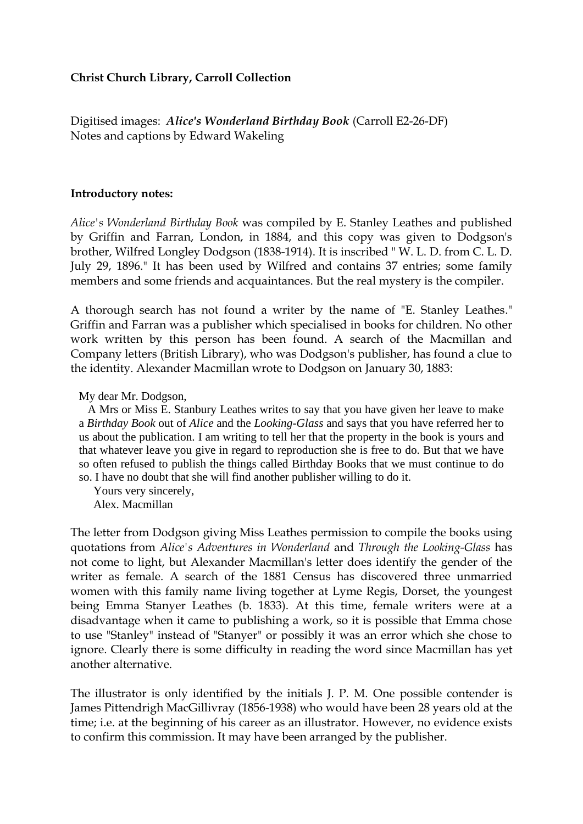## **Christ Church Library, Carroll Collection**

Digitised images: *Alice's Wonderland Birthday Book* (Carroll E2-26-DF) Notes and captions by Edward Wakeling

## **Introductory notes:**

*Alice's Wonderland Birthday Book* was compiled by E. Stanley Leathes and published by Griffin and Farran, London, in 1884, and this copy was given to Dodgson's brother, Wilfred Longley Dodgson (1838-1914). It is inscribed " W. L. D. from C. L. D. July 29, 1896." It has been used by Wilfred and contains 37 entries; some family members and some friends and acquaintances. But the real mystery is the compiler.

A thorough search has not found a writer by the name of "E. Stanley Leathes." Griffin and Farran was a publisher which specialised in books for children. No other work written by this person has been found. A search of the Macmillan and Company letters (British Library), who was Dodgson's publisher, has found a clue to the identity. Alexander Macmillan wrote to Dodgson on January 30, 1883:

My dear Mr. Dodgson,

 A Mrs or Miss E. Stanbury Leathes writes to say that you have given her leave to make a *Birthday Book* out of *Alice* and the *Looking-Glass* and says that you have referred her to us about the publication. I am writing to tell her that the property in the book is yours and that whatever leave you give in regard to reproduction she is free to do. But that we have so often refused to publish the things called Birthday Books that we must continue to do so. I have no doubt that she will find another publisher willing to do it.

Yours very sincerely,

Alex. Macmillan

The letter from Dodgson giving Miss Leathes permission to compile the books using quotations from *Alice's Adventures in Wonderland* and *Through the Looking-Glass* has not come to light, but Alexander Macmillan's letter does identify the gender of the writer as female. A search of the 1881 Census has discovered three unmarried women with this family name living together at Lyme Regis, Dorset, the youngest being Emma Stanyer Leathes (b. 1833). At this time, female writers were at a disadvantage when it came to publishing a work, so it is possible that Emma chose to use "Stanley" instead of "Stanyer" or possibly it was an error which she chose to ignore. Clearly there is some difficulty in reading the word since Macmillan has yet another alternative.

The illustrator is only identified by the initials J. P. M. One possible contender is James Pittendrigh MacGillivray (1856-1938) who would have been 28 years old at the time; i.e. at the beginning of his career as an illustrator. However, no evidence exists to confirm this commission. It may have been arranged by the publisher.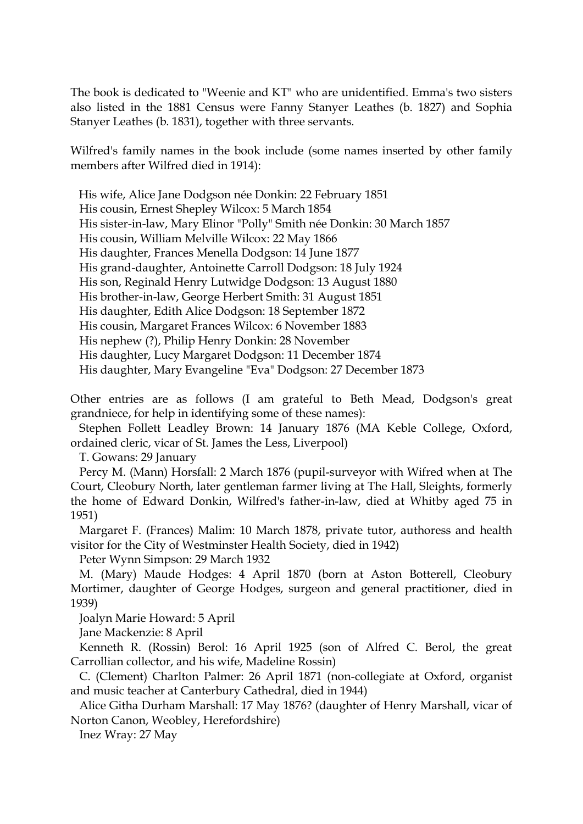The book is dedicated to "Weenie and KT" who are unidentified. Emma's two sisters also listed in the 1881 Census were Fanny Stanyer Leathes (b. 1827) and Sophia Stanyer Leathes (b. 1831), together with three servants.

Wilfred's family names in the book include (some names inserted by other family members after Wilfred died in 1914):

His wife, Alice Jane Dodgson née Donkin: 22 February 1851

His cousin, Ernest Shepley Wilcox: 5 March 1854

His sister-in-law, Mary Elinor "Polly" Smith née Donkin: 30 March 1857

His cousin, William Melville Wilcox: 22 May 1866

His daughter, Frances Menella Dodgson: 14 June 1877

His grand-daughter, Antoinette Carroll Dodgson: 18 July 1924

His son, Reginald Henry Lutwidge Dodgson: 13 August 1880

His brother-in-law, George Herbert Smith: 31 August 1851

His daughter, Edith Alice Dodgson: 18 September 1872

His cousin, Margaret Frances Wilcox: 6 November 1883

His nephew (?), Philip Henry Donkin: 28 November

His daughter, Lucy Margaret Dodgson: 11 December 1874

His daughter, Mary Evangeline "Eva" Dodgson: 27 December 1873

Other entries are as follows (I am grateful to Beth Mead, Dodgson's great grandniece, for help in identifying some of these names):

 Stephen Follett Leadley Brown: 14 January 1876 (MA Keble College, Oxford, ordained cleric, vicar of St. James the Less, Liverpool)

T. Gowans: 29 January

 Percy M. (Mann) Horsfall: 2 March 1876 (pupil-surveyor with Wifred when at The Court, Cleobury North, later gentleman farmer living at The Hall, Sleights, formerly the home of Edward Donkin, Wilfred's father-in-law, died at Whitby aged 75 in 1951)

 Margaret F. (Frances) Malim: 10 March 1878, private tutor, authoress and health visitor for the City of Westminster Health Society, died in 1942)

Peter Wynn Simpson: 29 March 1932

 M. (Mary) Maude Hodges: 4 April 1870 (born at Aston Botterell, Cleobury Mortimer, daughter of George Hodges, surgeon and general practitioner, died in 1939)

Joalyn Marie Howard: 5 April

Jane Mackenzie: 8 April

 Kenneth R. (Rossin) Berol: 16 April 1925 (son of Alfred C. Berol, the great Carrollian collector, and his wife, Madeline Rossin)

 C. (Clement) Charlton Palmer: 26 April 1871 (non-collegiate at Oxford, organist and music teacher at Canterbury Cathedral, died in 1944)

 Alice Githa Durham Marshall: 17 May 1876? (daughter of Henry Marshall, vicar of Norton Canon, Weobley, Herefordshire)

Inez Wray: 27 May